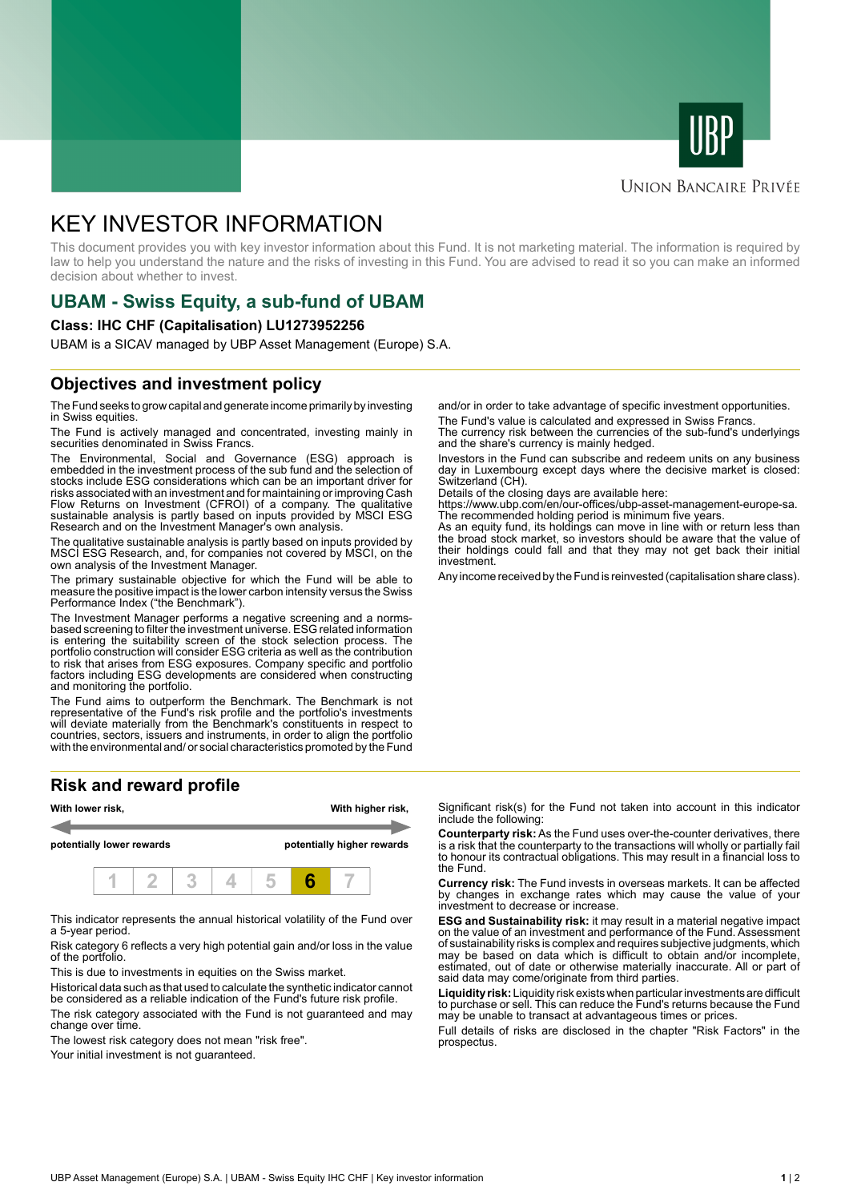



#### **UNION BANCAIRE PRIVÉE**

# KEY INVESTOR INFORMATION

This document provides you with key investor information about this Fund. It is not marketing material. The information is required by law to help you understand the nature and the risks of investing in this Fund. You are advised to read it so you can make an informed decision about whether to invest.

# **UBAM - Swiss Equity, a sub-fund of UBAM**

#### **Class: IHC CHF (Capitalisation) LU1273952256**

UBAM is a SICAV managed by UBP Asset Management (Europe) S.A.

### **Objectives and investment policy**

The Fund seeks to grow capital and generate income primarily by investing in Swiss equities.

The Fund is actively managed and concentrated, investing mainly in securities denominated in Swiss Francs.

The Environmental, Social and Governance (ESG) approach is embedded in the investment process of the sub fund and the selection of stocks include ESG considerations which can be an important driver for risks associated with an investment and for maintaining or improving Cash Flow Returns on Investment (CFROI) of a company. The qualitative sustainable analysis is partly based on inputs provided by MSCI ESG Research and on the Investment Manager's own analysis.

The qualitative sustainable analysis is partly based on inputs provided by MSCI ESG Research, and, for companies not covered by MSCI, on the own analysis of the Investment Manager.

The primary sustainable objective for which the Fund will be able to measure the positive impact is the lower carbon intensity versus the Swiss Performance Index ("the Benchmark").

The Investment Manager performs a negative screening and a normsbased screening to filter the investment universe. ESG related information is entering the suitability screen of the stock selection process. The portfolio construction will consider ESG criteria as well as the contribution to risk that arises from ESG exposures. Company specific and portfolio factors including ESG developments are considered when constructing and monitoring the portfolio.

The Fund aims to outperform the Benchmark. The Benchmark is not representative of the Fund's risk profile and the portfolio's investments will deviate materially from the Benchmark's constituents in respect to countries, sectors, issuers and instruments, in order to align the portfolio with the environmental and/ or social characteristics promoted by the Fund

## **Risk and reward profile**



This indicator represents the annual historical volatility of the Fund over a 5-year period.

Risk category 6 reflects a very high potential gain and/or loss in the value of the portfolio.

This is due to investments in equities on the Swiss market.

Historical data such as that used to calculate the synthetic indicator cannot be considered as a reliable indication of the Fund's future risk profile. The risk category associated with the Fund is not guaranteed and may change over time.

The lowest risk category does not mean "risk free".

Your initial investment is not guaranteed.

and/or in order to take advantage of specific investment opportunities.

The Fund's value is calculated and expressed in Swiss Francs. The currency risk between the currencies of the sub-fund's underlyings and the share's currency is mainly hedged.

Investors in the Fund can subscribe and redeem units on any business day in Luxembourg except days where the decisive market is closed: Switzerland (CH).

Details of the closing days are available here:

https://www.ubp.com/en/our-offices/ubp-asset-management-europe-sa. The recommended holding period is minimum five years.

As an equity fund, its holdings can move in line with or return less than the broad stock market, so investors should be aware that the value of their holdings could fall and that they may not get back their initial investment.

Any income received by the Fund is reinvested (capitalisation share class).

Significant risk(s) for the Fund not taken into account in this indicator include the following:

**Counterparty risk:** As the Fund uses over-the-counter derivatives, there is a risk that the counterparty to the transactions will wholly or partially fail to honour its contractual obligations. This may result in a financial loss to the Fund.

**Currency risk:** The Fund invests in overseas markets. It can be affected by changes in exchange rates which may cause the value of your investment to decrease or increase.

**ESG and Sustainability risk:** it may result in a material negative impact on the value of an investment and performance of the Fund. Assessment of sustainability risks is complex and requires subjective judgments, which may be based on data which is difficult to obtain and/or incomplete, estimated, out of date or otherwise materially inaccurate. All or part of said data may come/originate from third parties.

**Liquidity risk:** Liquidity risk exists when particular investments are difficult to purchase or sell. This can reduce the Fund's returns because the Fund may be unable to transact at advantageous times or prices.

Full details of risks are disclosed in the chapter "Risk Factors" in the prospectus.